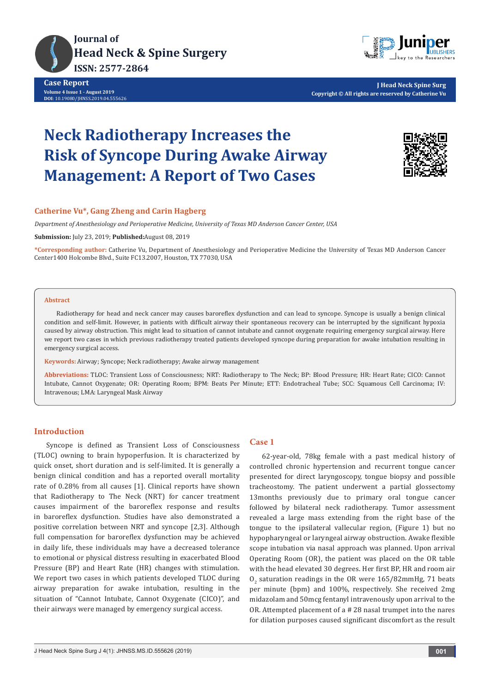



**J Head Neck Spine Surg Copyright © All rights are reserved by Catherine Vu**

# **Neck Radiotherapy Increases the Risk of Syncope During Awake Airway Management: A Report of Two Cases**



## **Catherine Vu\*, Gang Zheng and Carin Hagberg**

*Department of Anesthesiology and Perioperative Medicine, University of Texas MD Anderson Cancer Center, USA*

**Submission:** July 23, 2019; **Published:**August 08, 2019

**\*Corresponding author:** Catherine Vu, Department of Anesthesiology and Perioperative Medicine the University of Texas MD Anderson Cancer Center1400 Holcombe Blvd., Suite FC13.2007, Houston, TX 77030, USA

## **Abstract**

Radiotherapy for head and neck cancer may causes baroreflex dysfunction and can lead to syncope. Syncope is usually a benign clinical condition and self-limit. However, in patients with difficult airway their spontaneous recovery can be interrupted by the significant hypoxia caused by airway obstruction. This might lead to situation of cannot intubate and cannot oxygenate requiring emergency surgical airway. Here we report two cases in which previous radiotherapy treated patients developed syncope during preparation for awake intubation resulting in emergency surgical access.

**Keywords:** Airway; Syncope; Neck radiotherapy; Awake airway management

**Abbreviations:** TLOC: Transient Loss of Consciousness; NRT: Radiotherapy to The Neck; BP: Blood Pressure; HR: Heart Rate; CICO: Cannot Intubate, Cannot Oxygenate; OR: Operating Room; BPM: Beats Per Minute; ETT: Endotracheal Tube; SCC: Squamous Cell Carcinoma; IV: Intravenous; LMA: Laryngeal Mask Airway

## **Introduction**

Syncope is defined as Transient Loss of Consciousness (TLOC) owning to brain hypoperfusion. It is characterized by quick onset, short duration and is self-limited. It is generally a benign clinical condition and has a reported overall mortality rate of 0.28% from all causes [1]. Clinical reports have shown that Radiotherapy to The Neck (NRT) for cancer treatment causes impairment of the baroreflex response and results in baroreflex dysfunction. Studies have also demonstrated a positive correlation between NRT and syncope [2,3]. Although full compensation for baroreflex dysfunction may be achieved in daily life, these individuals may have a decreased tolerance to emotional or physical distress resulting in exacerbated Blood Pressure (BP) and Heart Rate (HR) changes with stimulation. We report two cases in which patients developed TLOC during airway preparation for awake intubation, resulting in the situation of "Cannot Intubate, Cannot Oxygenate (CICO)", and their airways were managed by emergency surgical access.

## **Case 1**

62-year-old, 78kg female with a past medical history of controlled chronic hypertension and recurrent tongue cancer presented for direct laryngoscopy, tongue biopsy and possible tracheostomy. The patient underwent a partial glossectomy 13months previously due to primary oral tongue cancer followed by bilateral neck radiotherapy. Tumor assessment revealed a large mass extending from the right base of the tongue to the ipsilateral vallecular region, (Figure 1) but no hypopharyngeal or laryngeal airway obstruction. Awake flexible scope intubation via nasal approach was planned. Upon arrival Operating Room (OR), the patient was placed on the OR table with the head elevated 30 degrees. Her first BP, HR and room air  $O_2$  saturation readings in the OR were  $165/82$ mmHg, 71 beats per minute (bpm) and 100%, respectively. She received 2mg midazolam and 50mcg fentanyl intravenously upon arrival to the OR. Attempted placement of a # 28 nasal trumpet into the nares for dilation purposes caused significant discomfort as the result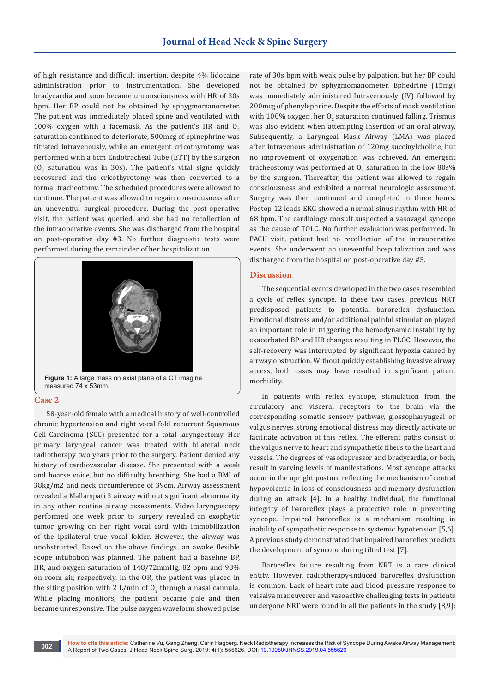of high resistance and difficult insertion, despite 4% lidocaine administration prior to instrumentation. She developed bradycardia and soon became unconsciousness with HR of 30s bpm. Her BP could not be obtained by sphygmomanometer. The patient was immediately placed spine and ventilated with 100% oxygen with a facemask. As the patient's HR and  $O<sub>2</sub>$ saturation continued to deteriorate, 500mcg of epinephrine was titrated intravenously, while an emergent cricothyrotomy was performed with a 6cm Endotracheal Tube (ETT) by the surgeon  $(0<sub>2</sub>$  saturation was in 30s). The patient's vital signs quickly recovered and the cricothyrotomy was then converted to a formal tracheotomy. The scheduled procedures were allowed to continue. The patient was allowed to regain consciousness after an uneventful surgical procedure. During the post-operative visit, the patient was queried, and she had no recollection of the intraoperative events. She was discharged from the hospital on post-operative day #3. No further diagnostic tests were performed during the remainder of her hospitalization.



**Figure 1:** A large mass on axial plane of a CT imagine measured 74 x 53mm.

#### **Case 2**

58-year-old female with a medical history of well-controlled chronic hypertension and right vocal fold recurrent Squamous Cell Carcinoma (SCC) presented for a total laryngectomy. Her primary laryngeal cancer was treated with bilateral neck radiotherapy two years prior to the surgery. Patient denied any history of cardiovascular disease. She presented with a weak and hoarse voice, but no difficulty breathing. She had a BMI of 38kg/m2 and neck circumference of 39cm. Airway assessment revealed a Mallampati 3 airway without significant abnormality in any other routine airway assessments. Video laryngoscopy performed one week prior to surgery revealed an exophytic tumor growing on her right vocal cord with immobilization of the ipsilateral true vocal folder. However, the airway was unobstructed. Based on the above findings, an awake flexible scope intubation was planned. The patient had a baseline BP, HR, and oxygen saturation of 148/72mmHg, 82 bpm and 98% on room air, respectively. In the OR, the patient was placed in the siting position with 2 L/min of  $0_{\frac{1}{2}}$  through a nasal cannula. While placing monitors, the patient became pale and then became unresponsive. The pulse oxygen waveform showed pulse

rate of 30s bpm with weak pulse by palpation, but her BP could not be obtained by sphygmomanometer. Ephedrine (15mg) was immediately administered Intravenously (IV) followed by 200mcg of phenylephrine. Despite the efforts of mask ventilation with  $100\%$  oxygen, her  $0_{_2}$  saturation continued falling. Trismus was also evident when attempting insertion of an oral airway. Subsequently, a Laryngeal Mask Airway (LMA) was placed after intravenous administration of 120mg succinylcholine, but no improvement of oxygenation was achieved. An emergent tracheostomy was performed at  $0_{2}$  saturation in the low 80s% by the surgeon. Thereafter, the patient was allowed to regain consciousness and exhibited a normal neurologic assessment. Surgery was then continued and completed in three hours. Postop 12 leads EKG showed a normal sinus rhythm with HR of 68 bpm. The cardiology consult suspected a vasovagal syncope as the cause of TOLC. No further evaluation was performed. In PACU visit, patient had no recollection of the intraoperative events. She underwent an uneventful hospitalization and was discharged from the hospital on post-operative day #5.

#### **Discussion**

The sequential events developed in the two cases resembled a cycle of reflex syncope. In these two cases, previous NRT predisposed patients to potential baroreflex dysfunction. Emotional distress and/or additional painful stimulation played an important role in triggering the hemodynamic instability by exacerbated BP and HR changes resulting in TLOC. However, the self-recovery was interrupted by significant hypoxia caused by airway obstruction. Without quickly establishing invasive airway access, both cases may have resulted in significant patient morbidity.

In patients with reflex syncope, stimulation from the circulatory and visceral receptors to the brain via the corresponding somatic sensory pathway, glossopharyngeal or valgus nerves, strong emotional distress may directly activate or facilitate activation of this reflex. The efferent paths consist of the valgus nerve to heart and sympathetic fibers to the heart and vessels. The degrees of vasodepressor and bradycardia, or both, result in varying levels of manifestations. Most syncope attacks occur in the upright posture reflecting the mechanism of central hypovolemia in loss of consciousness and memory dysfunction during an attack [4]. In a healthy individual, the functional integrity of baroreflex plays a protective role in preventing syncope. Impaired baroreflex is a mechanism resulting in inability of sympathetic response to systemic hypotension [5,6]. A previous study demonstrated that impaired baroreflex predicts the development of syncope during tilted test [7].

Baroreflex failure resulting from NRT is a rare clinical entity. However, radiotherapy-induced baroreflex dysfunction is common. Lack of heart rate and blood pressure response to valsalva maneuverer and vasoactive challenging tests in patients undergone NRT were found in all the patients in the study [8,9];